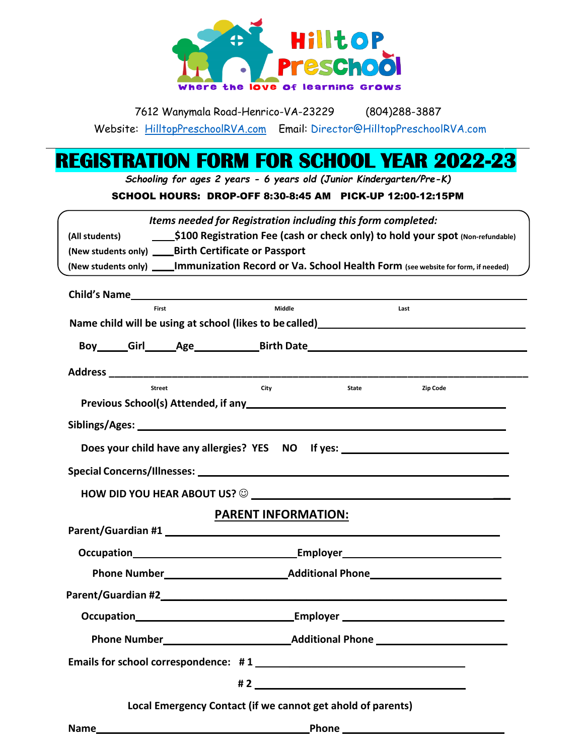

| 7612 Wanymala Road-Henrico-VA-23229 |  |  |  |   |  |  | $(804)288 - 3887$                  |  |  |  |  |
|-------------------------------------|--|--|--|---|--|--|------------------------------------|--|--|--|--|
|                                     |  |  |  | . |  |  | $\sim$ $\sim$ $\sim$ $\sim$ $\sim$ |  |  |  |  |

Website: [HilltopPreschoolRVA.com](http://www.hilltoppreschoolrva.com/) Email: Director@HilltopPreschoolRVA.com

## **REGISTRATION FORM FOR SCHOOL YEAR 2022-23**

*Schooling for ages 2 years - 6 years old (Junior Kindergarten/Pre-K)*

## SCHOOL HOURS: DROP-OFF 8:30-8:45 AM PICK-UP 12:00-12:15PM

|                                                                                  |               | Items needed for Registration including this form completed: |                           |                                                                                                                    |  |  |  |  |  |
|----------------------------------------------------------------------------------|---------------|--------------------------------------------------------------|---------------------------|--------------------------------------------------------------------------------------------------------------------|--|--|--|--|--|
|                                                                                  |               |                                                              |                           |                                                                                                                    |  |  |  |  |  |
| (New students only) _____ Birth Certificate or Passport                          |               |                                                              |                           |                                                                                                                    |  |  |  |  |  |
|                                                                                  |               |                                                              |                           | (New students only) ______ Immunization Record or Va. School Health Form (see website for form, if needed)         |  |  |  |  |  |
|                                                                                  |               |                                                              |                           |                                                                                                                    |  |  |  |  |  |
|                                                                                  | First         | Middle                                                       |                           | Last                                                                                                               |  |  |  |  |  |
|                                                                                  |               |                                                              |                           | Name child will be using at school (likes to be called)<br>Name child will be using at school (likes to be called) |  |  |  |  |  |
|                                                                                  |               |                                                              |                           | Boy Girl Age Birth Date                                                                                            |  |  |  |  |  |
|                                                                                  |               |                                                              |                           |                                                                                                                    |  |  |  |  |  |
|                                                                                  | <b>Street</b> | City                                                         | <b>State Example 2018</b> | <b>Zip Code</b>                                                                                                    |  |  |  |  |  |
|                                                                                  |               |                                                              |                           | Previous School(s) Attended, if any https://www.assett.com/www.assett.com/www.assett.com/www.assett.com/www.as     |  |  |  |  |  |
|                                                                                  |               |                                                              |                           |                                                                                                                    |  |  |  |  |  |
| Does your child have any allergies? YES NO If yes: _____________________________ |               |                                                              |                           |                                                                                                                    |  |  |  |  |  |
|                                                                                  |               |                                                              |                           |                                                                                                                    |  |  |  |  |  |
|                                                                                  |               |                                                              |                           |                                                                                                                    |  |  |  |  |  |
| <b>PARENT INFORMATION:</b>                                                       |               |                                                              |                           |                                                                                                                    |  |  |  |  |  |
|                                                                                  |               |                                                              |                           |                                                                                                                    |  |  |  |  |  |
|                                                                                  |               |                                                              |                           |                                                                                                                    |  |  |  |  |  |
|                                                                                  |               |                                                              |                           |                                                                                                                    |  |  |  |  |  |
|                                                                                  |               |                                                              |                           |                                                                                                                    |  |  |  |  |  |
|                                                                                  |               |                                                              |                           |                                                                                                                    |  |  |  |  |  |
|                                                                                  |               |                                                              |                           |                                                                                                                    |  |  |  |  |  |
|                                                                                  |               |                                                              |                           |                                                                                                                    |  |  |  |  |  |
|                                                                                  |               |                                                              |                           |                                                                                                                    |  |  |  |  |  |
| Local Emergency Contact (if we cannot get ahold of parents)                      |               |                                                              |                           |                                                                                                                    |  |  |  |  |  |
|                                                                                  |               |                                                              |                           |                                                                                                                    |  |  |  |  |  |